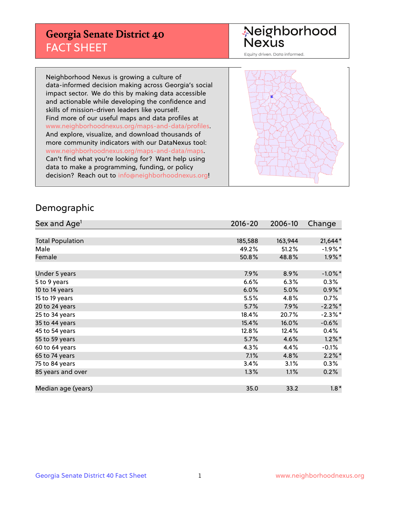## **Georgia Senate District 40** FACT SHEET

# Neighborhood<br>Nexus

Equity driven. Data informed.

Neighborhood Nexus is growing a culture of data-informed decision making across Georgia's social impact sector. We do this by making data accessible and actionable while developing the confidence and skills of mission-driven leaders like yourself. Find more of our useful maps and data profiles at www.neighborhoodnexus.org/maps-and-data/profiles. And explore, visualize, and download thousands of more community indicators with our DataNexus tool: www.neighborhoodnexus.org/maps-and-data/maps. Can't find what you're looking for? Want help using data to make a programming, funding, or policy decision? Reach out to [info@neighborhoodnexus.org!](mailto:info@neighborhoodnexus.org)



### Demographic

| Sex and Age <sup>1</sup> | $2016 - 20$ | 2006-10 | Change     |
|--------------------------|-------------|---------|------------|
|                          |             |         |            |
| <b>Total Population</b>  | 185,588     | 163,944 | 21,644*    |
| Male                     | 49.2%       | 51.2%   | $-1.9%$ *  |
| Female                   | 50.8%       | 48.8%   | $1.9\%$ *  |
|                          |             |         |            |
| Under 5 years            | 7.9%        | 8.9%    | $-1.0\%$ * |
| 5 to 9 years             | 6.6%        | 6.3%    | $0.3\%$    |
| 10 to 14 years           | 6.0%        | 5.0%    | $0.9\%$ *  |
| 15 to 19 years           | 5.5%        | 4.8%    | 0.7%       |
| 20 to 24 years           | 5.7%        | 7.9%    | $-2.2%$ *  |
| 25 to 34 years           | 18.4%       | 20.7%   | $-2.3\%$ * |
| 35 to 44 years           | 15.4%       | 16.0%   | $-0.6%$    |
| 45 to 54 years           | 12.8%       | 12.4%   | 0.4%       |
| 55 to 59 years           | 5.7%        | 4.6%    | $1.2\%$ *  |
| 60 to 64 years           | 4.3%        | 4.4%    | $-0.1%$    |
| 65 to 74 years           | 7.1%        | 4.8%    | $2.2\%$ *  |
| 75 to 84 years           | 3.4%        | 3.1%    | $0.3\%$    |
| 85 years and over        | 1.3%        | 1.1%    | 0.2%       |
|                          |             |         |            |
| Median age (years)       | 35.0        | 33.2    | $1.8*$     |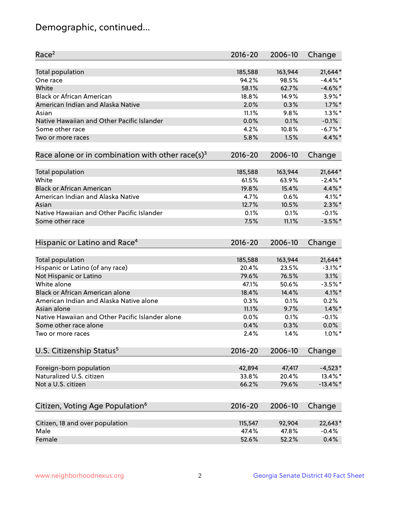## Demographic, continued...

| Race <sup>2</sup>                                            | $2016 - 20$ | 2006-10 | Change      |
|--------------------------------------------------------------|-------------|---------|-------------|
| <b>Total population</b>                                      | 185,588     | 163,944 | 21,644*     |
| One race                                                     | 94.2%       | 98.5%   | $-4.4\%$ *  |
| White                                                        | 58.1%       | 62.7%   | $-4.6\%$ *  |
| <b>Black or African American</b>                             | 18.8%       | 14.9%   | $3.9\%$ *   |
| American Indian and Alaska Native                            | 2.0%        | 0.3%    | $1.7\%$ *   |
| Asian                                                        | 11.1%       | 9.8%    | $1.3\%$ *   |
| Native Hawaiian and Other Pacific Islander                   | 0.0%        | 0.1%    | $-0.1%$     |
| Some other race                                              | 4.2%        | 10.8%   | $-6.7\%$ *  |
| Two or more races                                            | 5.8%        | 1.5%    | 4.4%*       |
| Race alone or in combination with other race(s) <sup>3</sup> | $2016 - 20$ | 2006-10 | Change      |
| Total population                                             | 185,588     | 163,944 | 21,644*     |
| White                                                        | 61.5%       | 63.9%   | $-2.4\%$ *  |
| <b>Black or African American</b>                             | 19.8%       | 15.4%   | 4.4%*       |
| American Indian and Alaska Native                            | 4.7%        | 0.6%    | $4.1\%$ *   |
| Asian                                                        | 12.7%       | 10.5%   | $2.3\%$ *   |
| Native Hawaiian and Other Pacific Islander                   | 0.1%        | 0.1%    | $-0.1%$     |
| Some other race                                              | 7.5%        | 11.1%   | $-3.5%$ *   |
|                                                              |             |         |             |
| Hispanic or Latino and Race <sup>4</sup>                     | $2016 - 20$ | 2006-10 | Change      |
| <b>Total population</b>                                      | 185,588     | 163,944 | 21,644*     |
| Hispanic or Latino (of any race)                             | 20.4%       | 23.5%   | $-3.1\%$ *  |
| Not Hispanic or Latino                                       | 79.6%       | 76.5%   | 3.1%        |
| White alone                                                  | 47.1%       | 50.6%   | $-3.5%$ *   |
| <b>Black or African American alone</b>                       | 18.4%       | 14.4%   | $4.1\%$ *   |
| American Indian and Alaska Native alone                      | 0.3%        | 0.1%    | 0.2%        |
| Asian alone                                                  | 11.1%       | 9.7%    | $1.4\%$ *   |
| Native Hawaiian and Other Pacific Islander alone             | 0.0%        | 0.1%    | $-0.1%$     |
| Some other race alone                                        | 0.4%        | 0.3%    | 0.0%        |
| Two or more races                                            | 2.4%        | 1.4%    | $1.0\%$ *   |
| U.S. Citizenship Status <sup>5</sup>                         | $2016 - 20$ | 2006-10 | Change      |
|                                                              |             |         |             |
| Foreign-born population                                      | 42,894      | 47,417  | $-4,523*$   |
| Naturalized U.S. citizen                                     | 33.8%       | 20.4%   | 13.4%*      |
| Not a U.S. citizen                                           | 66.2%       | 79.6%   | $-13.4\%$ * |
| Citizen, Voting Age Population <sup>6</sup>                  | 2016-20     | 2006-10 | Change      |
| Citizen, 18 and over population                              | 115,547     | 92,904  | 22,643*     |
| Male                                                         | 47.4%       | 47.8%   | $-0.4%$     |
| Female                                                       | 52.6%       | 52.2%   | 0.4%        |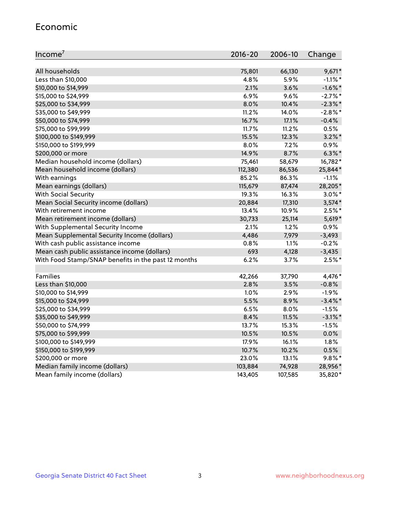#### Economic

| Income <sup>7</sup>                                 | $2016 - 20$ | 2006-10 | Change     |
|-----------------------------------------------------|-------------|---------|------------|
|                                                     |             |         |            |
| All households                                      | 75,801      | 66,130  | $9,671*$   |
| Less than \$10,000                                  | 4.8%        | 5.9%    | $-1.1\%$ * |
| \$10,000 to \$14,999                                | 2.1%        | 3.6%    | $-1.6\%$ * |
| \$15,000 to \$24,999                                | 6.9%        | 9.6%    | $-2.7%$ *  |
| \$25,000 to \$34,999                                | 8.0%        | 10.4%   | $-2.3\%$ * |
| \$35,000 to \$49,999                                | 11.2%       | 14.0%   | $-2.8\%$ * |
| \$50,000 to \$74,999                                | 16.7%       | 17.1%   | $-0.4%$    |
| \$75,000 to \$99,999                                | 11.7%       | 11.2%   | 0.5%       |
| \$100,000 to \$149,999                              | 15.5%       | 12.3%   | $3.2\%$ *  |
| \$150,000 to \$199,999                              | 8.0%        | 7.2%    | 0.9%       |
| \$200,000 or more                                   | 14.9%       | 8.7%    | $6.3\%$ *  |
| Median household income (dollars)                   | 75,461      | 58,679  | 16,782*    |
| Mean household income (dollars)                     | 112,380     | 86,536  | 25,844*    |
| With earnings                                       | 85.2%       | 86.3%   | $-1.1%$    |
| Mean earnings (dollars)                             | 115,679     | 87,474  | 28,205*    |
| <b>With Social Security</b>                         | 19.3%       | 16.3%   | $3.0\%$ *  |
| Mean Social Security income (dollars)               | 20,884      | 17,310  | $3,574*$   |
| With retirement income                              | 13.4%       | 10.9%   | $2.5%$ *   |
| Mean retirement income (dollars)                    | 30,733      | 25,114  | $5,619*$   |
| With Supplemental Security Income                   | 2.1%        | 1.2%    | 0.9%       |
| Mean Supplemental Security Income (dollars)         | 4,486       | 7,979   | $-3,493$   |
| With cash public assistance income                  | 0.8%        | 1.1%    | $-0.2%$    |
| Mean cash public assistance income (dollars)        | 693         | 4,128   | $-3,435$   |
| With Food Stamp/SNAP benefits in the past 12 months | 6.2%        | 3.7%    | $2.5%$ *   |
|                                                     |             |         |            |
| Families                                            | 42,266      | 37,790  | 4,476*     |
| Less than \$10,000                                  | 2.8%        | 3.5%    | $-0.8%$    |
| \$10,000 to \$14,999                                | 1.0%        | 2.9%    | $-1.9%$    |
| \$15,000 to \$24,999                                | 5.5%        | 8.9%    | $-3.4\%$ * |
| \$25,000 to \$34,999                                | 6.5%        | 8.0%    | $-1.5%$    |
| \$35,000 to \$49,999                                | 8.4%        | 11.5%   | $-3.1\%$ * |
| \$50,000 to \$74,999                                | 13.7%       | 15.3%   | $-1.5%$    |
| \$75,000 to \$99,999                                | 10.5%       | 10.5%   | 0.0%       |
| \$100,000 to \$149,999                              | 17.9%       | 16.1%   | 1.8%       |
| \$150,000 to \$199,999                              | 10.7%       | 10.2%   | 0.5%       |
| \$200,000 or more                                   | 23.0%       | 13.1%   | $9.8\%$ *  |
| Median family income (dollars)                      | 103,884     | 74,928  | 28,956*    |
| Mean family income (dollars)                        | 143,405     | 107,585 | 35,820*    |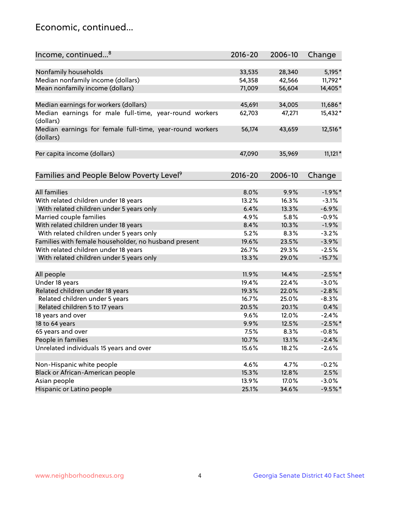## Economic, continued...

| Income, continued <sup>8</sup>                           | $2016 - 20$ | 2006-10       | Change    |
|----------------------------------------------------------|-------------|---------------|-----------|
|                                                          |             |               |           |
| Nonfamily households                                     | 33,535      | 28,340        | 5,195*    |
| Median nonfamily income (dollars)                        | 54,358      | 42,566        | 11,792*   |
| Mean nonfamily income (dollars)                          | 71,009      | 56,604        | 14,405*   |
|                                                          |             |               |           |
| Median earnings for workers (dollars)                    | 45,691      | 34,005        | 11,686*   |
| Median earnings for male full-time, year-round workers   | 62,703      | 47,271        | 15,432*   |
| (dollars)                                                |             |               |           |
| Median earnings for female full-time, year-round workers | 56,174      | 43,659        | 12,516*   |
| (dollars)                                                |             |               |           |
|                                                          |             |               |           |
| Per capita income (dollars)                              | 47,090      | 35,969        | $11,121*$ |
|                                                          |             |               |           |
|                                                          | $2016 - 20$ | 2006-10       |           |
| Families and People Below Poverty Level <sup>9</sup>     |             |               | Change    |
| <b>All families</b>                                      | 8.0%        | 9.9%          | $-1.9%$ * |
|                                                          | 13.2%       | 16.3%         | $-3.1%$   |
| With related children under 18 years                     | 6.4%        | 13.3%         | $-6.9%$   |
| With related children under 5 years only                 | 4.9%        |               | $-0.9%$   |
| Married couple families                                  | 8.4%        | 5.8%<br>10.3% | $-1.9%$   |
| With related children under 18 years                     |             |               |           |
| With related children under 5 years only                 | 5.2%        | 8.3%          | $-3.2%$   |
| Families with female householder, no husband present     | 19.6%       | 23.5%         | $-3.9%$   |
| With related children under 18 years                     | 26.7%       | 29.3%         | $-2.5%$   |
| With related children under 5 years only                 | 13.3%       | 29.0%         | $-15.7%$  |
| All people                                               | 11.9%       | 14.4%         | $-2.5%$ * |
| Under 18 years                                           | 19.4%       | 22.4%         | $-3.0%$   |
| Related children under 18 years                          | 19.3%       | 22.0%         | $-2.8%$   |
| Related children under 5 years                           | 16.7%       | 25.0%         | $-8.3%$   |
| Related children 5 to 17 years                           | 20.5%       | 20.1%         | 0.4%      |
| 18 years and over                                        | 9.6%        | 12.0%         | $-2.4%$   |
| 18 to 64 years                                           | 9.9%        | 12.5%         | $-2.5%$ * |
| 65 years and over                                        | 7.5%        | 8.3%          | $-0.8%$   |
| People in families                                       | 10.7%       | 13.1%         | $-2.4%$   |
| Unrelated individuals 15 years and over                  | 15.6%       | 18.2%         | $-2.6%$   |
|                                                          |             |               |           |
| Non-Hispanic white people                                | 4.6%        | 4.7%          | $-0.2%$   |
| Black or African-American people                         | 15.3%       | 12.8%         | 2.5%      |
| Asian people                                             | 13.9%       | 17.0%         | $-3.0%$   |
| Hispanic or Latino people                                | 25.1%       | 34.6%         | $-9.5%$ * |
|                                                          |             |               |           |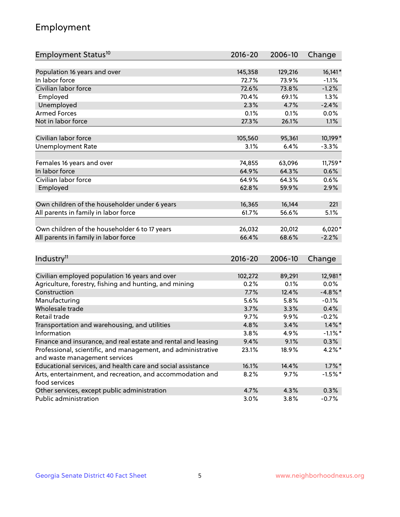## Employment

| Employment Status <sup>10</sup>                                             | $2016 - 20$ | 2006-10 | Change     |
|-----------------------------------------------------------------------------|-------------|---------|------------|
|                                                                             |             |         |            |
| Population 16 years and over<br>In labor force                              | 145,358     | 129,216 | $16,141*$  |
| Civilian labor force                                                        | 72.7%       | 73.9%   | $-1.1%$    |
|                                                                             | 72.6%       | 73.8%   | $-1.2%$    |
| Employed                                                                    | 70.4%       | 69.1%   | 1.3%       |
| Unemployed                                                                  | 2.3%        | 4.7%    | $-2.4%$    |
| <b>Armed Forces</b>                                                         | 0.1%        | 0.1%    | 0.0%       |
| Not in labor force                                                          | 27.3%       | 26.1%   | 1.1%       |
| Civilian labor force                                                        | 105,560     | 95,361  | 10,199*    |
|                                                                             |             |         |            |
| <b>Unemployment Rate</b>                                                    | 3.1%        | 6.4%    | $-3.3%$    |
| Females 16 years and over                                                   | 74,855      | 63,096  | 11,759*    |
| In labor force                                                              | 64.9%       | 64.3%   | 0.6%       |
| Civilian labor force                                                        | 64.9%       | 64.3%   | 0.6%       |
| Employed                                                                    | 62.8%       | 59.9%   | 2.9%       |
|                                                                             |             |         |            |
| Own children of the householder under 6 years                               | 16,365      | 16,144  | 221        |
| All parents in family in labor force                                        | 61.7%       | 56.6%   | 5.1%       |
|                                                                             |             |         |            |
| Own children of the householder 6 to 17 years                               | 26,032      | 20,012  | $6,020*$   |
| All parents in family in labor force                                        | 66.4%       | 68.6%   | $-2.2%$    |
|                                                                             |             |         |            |
| Industry <sup>11</sup>                                                      | $2016 - 20$ | 2006-10 | Change     |
|                                                                             |             |         |            |
| Civilian employed population 16 years and over                              | 102,272     | 89,291  | 12,981*    |
| Agriculture, forestry, fishing and hunting, and mining                      | 0.2%        | 0.1%    | 0.0%       |
| Construction                                                                | 7.7%        | 12.4%   | $-4.8\%$ * |
| Manufacturing                                                               | 5.6%        | 5.8%    | $-0.1%$    |
| Wholesale trade                                                             | 3.7%        | 3.3%    | 0.4%       |
| Retail trade                                                                | 9.7%        | $9.9\%$ | $-0.2%$    |
| Transportation and warehousing, and utilities                               | 4.8%        | 3.4%    | $1.4\%$ *  |
| Information                                                                 | 3.8%        | 4.9%    | $-1.1\%$ * |
| Finance and insurance, and real estate and rental and leasing               | 9.4%        | 9.1%    | $0.3\%$    |
| Professional, scientific, and management, and administrative                | 23.1%       | 18.9%   | $4.2\%$ *  |
| and waste management services                                               |             |         |            |
| Educational services, and health care and social assistance                 | 16.1%       | 14.4%   | $1.7\%$ *  |
| Arts, entertainment, and recreation, and accommodation and<br>food services | 8.2%        | 9.7%    | $-1.5%$ *  |
| Other services, except public administration                                | 4.7%        | 4.3%    | 0.3%       |
| Public administration                                                       | 3.0%        | 3.8%    | $-0.7%$    |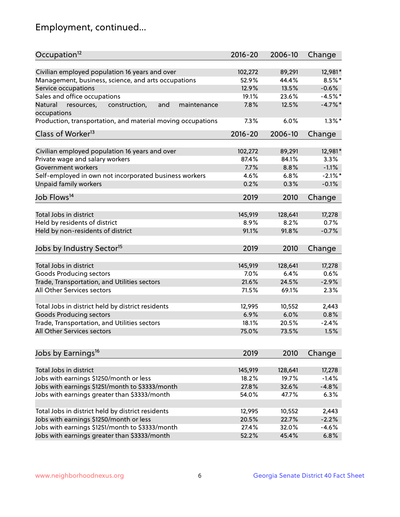## Employment, continued...

| Occupation <sup>12</sup>                                    | $2016 - 20$ | 2006-10 | Change     |
|-------------------------------------------------------------|-------------|---------|------------|
| Civilian employed population 16 years and over              | 102,272     | 89,291  | 12,981*    |
| Management, business, science, and arts occupations         | 52.9%       | 44.4%   | $8.5\%$ *  |
| Service occupations                                         | 12.9%       | 13.5%   | $-0.6%$    |
| Sales and office occupations                                | 19.1%       | 23.6%   | $-4.5%$ *  |
| and<br>maintenance<br>Natural                               | 7.8%        | 12.5%   | $-4.7\%$ * |
| resources,<br>construction,<br>occupations                  |             |         |            |
| Production, transportation, and material moving occupations | 7.3%        | 6.0%    | $1.3\%$ *  |
| Class of Worker <sup>13</sup>                               | $2016 - 20$ | 2006-10 | Change     |
| Civilian employed population 16 years and over              | 102,272     | 89,291  | 12,981*    |
| Private wage and salary workers                             | 87.4%       | 84.1%   | 3.3%       |
| Government workers                                          | 7.7%        | 8.8%    | $-1.1%$    |
|                                                             |             |         | $-2.1\%$ * |
| Self-employed in own not incorporated business workers      | 4.6%        | 6.8%    |            |
| Unpaid family workers                                       | 0.2%        | 0.3%    | $-0.1%$    |
| Job Flows <sup>14</sup>                                     | 2019        | 2010    | Change     |
| Total Jobs in district                                      | 145,919     | 128,641 | 17,278     |
| Held by residents of district                               | 8.9%        | 8.2%    | 0.7%       |
| Held by non-residents of district                           | 91.1%       | 91.8%   | $-0.7%$    |
|                                                             |             |         |            |
| Jobs by Industry Sector <sup>15</sup>                       | 2019        | 2010    | Change     |
| Total Jobs in district                                      | 145,919     | 128,641 | 17,278     |
|                                                             | 7.0%        | 6.4%    | 0.6%       |
| Goods Producing sectors                                     |             |         |            |
| Trade, Transportation, and Utilities sectors                | 21.6%       | 24.5%   | $-2.9%$    |
| All Other Services sectors                                  | 71.5%       | 69.1%   | 2.3%       |
| Total Jobs in district held by district residents           | 12,995      | 10,552  | 2,443      |
|                                                             | 6.9%        | 6.0%    | 0.8%       |
| <b>Goods Producing sectors</b>                              | 18.1%       | 20.5%   | $-2.4%$    |
| Trade, Transportation, and Utilities sectors                |             |         |            |
| All Other Services sectors                                  | 75.0%       | 73.5%   | 1.5%       |
| Jobs by Earnings <sup>16</sup>                              | 2019        | 2010    | Change     |
|                                                             |             |         |            |
| Total Jobs in district                                      | 145,919     | 128,641 | 17,278     |
| Jobs with earnings \$1250/month or less                     | 18.2%       | 19.7%   | $-1.4%$    |
| Jobs with earnings \$1251/month to \$3333/month             | 27.8%       | 32.6%   | $-4.8%$    |
| Jobs with earnings greater than \$3333/month                | 54.0%       | 47.7%   | 6.3%       |
| Total Jobs in district held by district residents           | 12,995      | 10,552  | 2,443      |
| Jobs with earnings \$1250/month or less                     | 20.5%       | 22.7%   | $-2.2%$    |
| Jobs with earnings \$1251/month to \$3333/month             | 27.4%       | 32.0%   | $-4.6%$    |
| Jobs with earnings greater than \$3333/month                | 52.2%       | 45.4%   | 6.8%       |
|                                                             |             |         |            |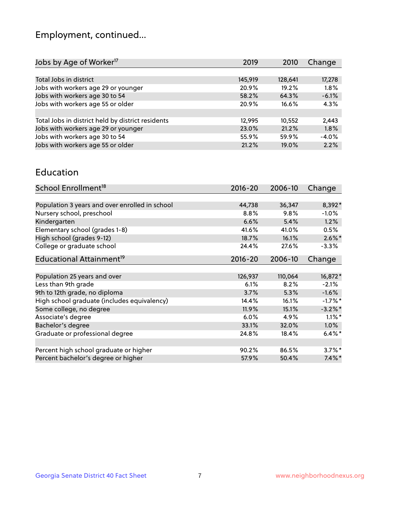## Employment, continued...

| 2019    | 2010    | Change  |
|---------|---------|---------|
|         |         |         |
| 145,919 | 128,641 | 17,278  |
| 20.9%   | 19.2%   | 1.8%    |
| 58.2%   | 64.3%   | $-6.1%$ |
| 20.9%   | 16.6%   | 4.3%    |
|         |         |         |
| 12,995  | 10,552  | 2,443   |
| 23.0%   | 21.2%   | 1.8%    |
| 55.9%   | 59.9%   | $-4.0%$ |
| 21.2%   | 19.0%   | 2.2%    |
|         |         |         |

#### Education

| School Enrollment <sup>18</sup>                | $2016 - 20$ | 2006-10 | Change     |
|------------------------------------------------|-------------|---------|------------|
|                                                |             |         |            |
| Population 3 years and over enrolled in school | 44,738      | 36,347  | 8,392*     |
| Nursery school, preschool                      | $8.8\%$     | 9.8%    | $-1.0\%$   |
| Kindergarten                                   | 6.6%        | 5.4%    | 1.2%       |
| Elementary school (grades 1-8)                 | 41.6%       | 41.0%   | 0.5%       |
| High school (grades 9-12)                      | 18.7%       | 16.1%   | $2.6\%$ *  |
| College or graduate school                     | 24.4%       | 27.6%   | $-3.3%$    |
| Educational Attainment <sup>19</sup>           | $2016 - 20$ | 2006-10 | Change     |
|                                                |             |         |            |
| Population 25 years and over                   | 126,937     | 110,064 | 16,872*    |
| Less than 9th grade                            | 6.1%        | 8.2%    | $-2.1%$    |
| 9th to 12th grade, no diploma                  | 3.7%        | 5.3%    | $-1.6%$    |
| High school graduate (includes equivalency)    | 14.4%       | 16.1%   | $-1.7%$ *  |
| Some college, no degree                        | $11.9\%$    | 15.1%   | $-3.2\%$ * |
| Associate's degree                             | 6.0%        | 4.9%    | $1.1\%$ *  |
| Bachelor's degree                              | 33.1%       | 32.0%   | 1.0%       |
| Graduate or professional degree                | 24.8%       | 18.4%   | $6.4\%$    |
|                                                |             |         |            |
| Percent high school graduate or higher         | 90.2%       | 86.5%   | $3.7\%$ *  |
| Percent bachelor's degree or higher            | 57.9%       | 50.4%   | $7.4\%$ *  |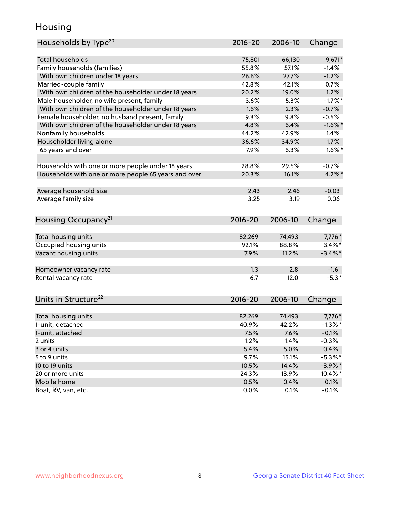## Housing

| Households by Type <sup>20</sup>                     | 2016-20     | 2006-10 | Change     |
|------------------------------------------------------|-------------|---------|------------|
|                                                      |             |         |            |
| <b>Total households</b>                              | 75,801      | 66,130  | $9,671*$   |
| Family households (families)                         | 55.8%       | 57.1%   | $-1.4%$    |
| With own children under 18 years                     | 26.6%       | 27.7%   | $-1.2%$    |
| Married-couple family                                | 42.8%       | 42.1%   | 0.7%       |
| With own children of the householder under 18 years  | 20.2%       | 19.0%   | 1.2%       |
| Male householder, no wife present, family            | 3.6%        | 5.3%    | $-1.7%$ *  |
| With own children of the householder under 18 years  | 1.6%        | 2.3%    | $-0.7%$    |
| Female householder, no husband present, family       | 9.3%        | 9.8%    | $-0.5%$    |
| With own children of the householder under 18 years  | 4.8%        | 6.4%    | $-1.6\%$ * |
| Nonfamily households                                 | 44.2%       | 42.9%   | 1.4%       |
| Householder living alone                             | 36.6%       | 34.9%   | 1.7%       |
| 65 years and over                                    | 7.9%        | 6.3%    | $1.6\%$ *  |
|                                                      |             |         |            |
| Households with one or more people under 18 years    | 28.8%       | 29.5%   | $-0.7%$    |
| Households with one or more people 65 years and over | 20.3%       | 16.1%   | $4.2\%$ *  |
|                                                      |             |         |            |
| Average household size                               | 2.43        | 2.46    | $-0.03$    |
| Average family size                                  | 3.25        | 3.19    | 0.06       |
|                                                      |             |         |            |
| Housing Occupancy <sup>21</sup>                      | $2016 - 20$ | 2006-10 | Change     |
|                                                      |             |         |            |
| Total housing units                                  | 82,269      | 74,493  | 7,776*     |
| Occupied housing units                               | 92.1%       | 88.8%   | $3.4\%$ *  |
| Vacant housing units                                 | 7.9%        | 11.2%   | $-3.4\%$ * |
|                                                      |             |         |            |
| Homeowner vacancy rate                               | 1.3         | 2.8     | $-1.6$     |
| Rental vacancy rate                                  | 6.7         | 12.0    | $-5.3*$    |
|                                                      |             |         |            |
| Units in Structure <sup>22</sup>                     | $2016 - 20$ | 2006-10 |            |
|                                                      |             |         | Change     |
| Total housing units                                  | 82,269      | 74,493  | $7,776*$   |
| 1-unit, detached                                     | 40.9%       | 42.2%   | $-1.3\%$ * |
| 1-unit, attached                                     | 7.5%        | 7.6%    | $-0.1%$    |
| 2 units                                              | 1.2%        | 1.4%    | $-0.3%$    |
| 3 or 4 units                                         | 5.4%        | 5.0%    | 0.4%       |
| 5 to 9 units                                         | 9.7%        | 15.1%   | $-5.3\%$ * |
| 10 to 19 units                                       | 10.5%       | 14.4%   | $-3.9\%$ * |
| 20 or more units                                     | 24.3%       | 13.9%   | $10.4\%$ * |
| Mobile home                                          | 0.5%        | 0.4%    | 0.1%       |
| Boat, RV, van, etc.                                  | 0.0%        | 0.1%    | $-0.1%$    |
|                                                      |             |         |            |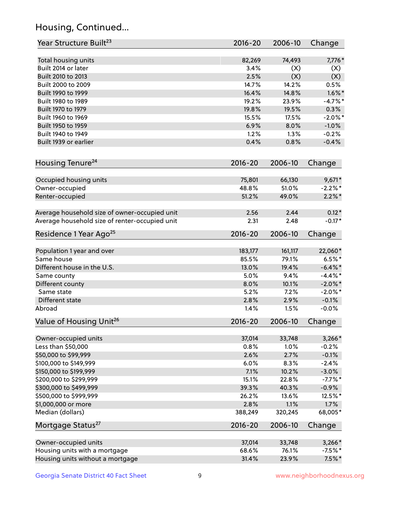## Housing, Continued...

| Year Structure Built <sup>23</sup>             | 2016-20     | 2006-10 | Change     |
|------------------------------------------------|-------------|---------|------------|
| Total housing units                            | 82,269      | 74,493  | 7,776*     |
| Built 2014 or later                            | 3.4%        | (X)     | (X)        |
| Built 2010 to 2013                             | 2.5%        | (X)     | (X)        |
| Built 2000 to 2009                             | 14.7%       | 14.2%   | 0.5%       |
| Built 1990 to 1999                             | 16.4%       | 14.8%   | $1.6\%$ *  |
| Built 1980 to 1989                             | 19.2%       | 23.9%   | $-4.7%$ *  |
| Built 1970 to 1979                             | 19.8%       | 19.5%   | 0.3%       |
| Built 1960 to 1969                             | 15.5%       | 17.5%   | $-2.0\%$ * |
| Built 1950 to 1959                             | 6.9%        | 8.0%    | $-1.0%$    |
| Built 1940 to 1949                             | 1.2%        | 1.3%    | $-0.2%$    |
| Built 1939 or earlier                          | 0.4%        | 0.8%    | $-0.4%$    |
| Housing Tenure <sup>24</sup>                   | $2016 - 20$ | 2006-10 | Change     |
| Occupied housing units                         | 75,801      | 66,130  | $9,671*$   |
| Owner-occupied                                 | 48.8%       | 51.0%   | $-2.2\%$ * |
| Renter-occupied                                | 51.2%       | 49.0%   | $2.2\%$ *  |
| Average household size of owner-occupied unit  | 2.56        | 2.44    | $0.12*$    |
| Average household size of renter-occupied unit | 2.31        | 2.48    | $-0.17*$   |
| Residence 1 Year Ago <sup>25</sup>             | 2016-20     | 2006-10 | Change     |
| Population 1 year and over                     | 183,177     | 161,117 | 22,060*    |
| Same house                                     | 85.5%       | 79.1%   | $6.5%$ *   |
| Different house in the U.S.                    | 13.0%       | 19.4%   | $-6.4\%$ * |
| Same county                                    | 5.0%        | 9.4%    | $-4.4\%$ * |
| Different county                               | 8.0%        | 10.1%   | $-2.0\%$ * |
| Same state                                     | 5.2%        | 7.2%    | $-2.0\%$ * |
| Different state                                | 2.8%        | 2.9%    | $-0.1%$    |
| Abroad                                         | 1.4%        | 1.5%    | $-0.0%$    |
| Value of Housing Unit <sup>26</sup>            | $2016 - 20$ | 2006-10 | Change     |
| Owner-occupied units                           | 37,014      | 33,748  | $3,266*$   |
| Less than \$50,000                             | 0.8%        | 1.0%    | $-0.2%$    |
| \$50,000 to \$99,999                           | 2.6%        | 2.7%    | $-0.1%$    |
| \$100,000 to \$149,999                         | 6.0%        | 8.3%    | $-2.4%$    |
| \$150,000 to \$199,999                         | 7.1%        | 10.2%   | $-3.0%$    |
| \$200,000 to \$299,999                         | 15.1%       | 22.8%   | $-7.7%$ *  |
| \$300,000 to \$499,999                         | 39.3%       | 40.3%   | $-0.9%$    |
| \$500,000 to \$999,999                         | 26.2%       | 13.6%   | 12.5%*     |
| \$1,000,000 or more                            | 2.8%        | 1.1%    | 1.7%       |
| Median (dollars)                               | 388,249     | 320,245 | 68,005*    |
| Mortgage Status <sup>27</sup>                  | $2016 - 20$ | 2006-10 | Change     |
| Owner-occupied units                           | 37,014      | 33,748  | $3,266*$   |
| Housing units with a mortgage                  | 68.6%       | 76.1%   | $-7.5%$ *  |
| Housing units without a mortgage               | 31.4%       | 23.9%   | $7.5\%$ *  |
|                                                |             |         |            |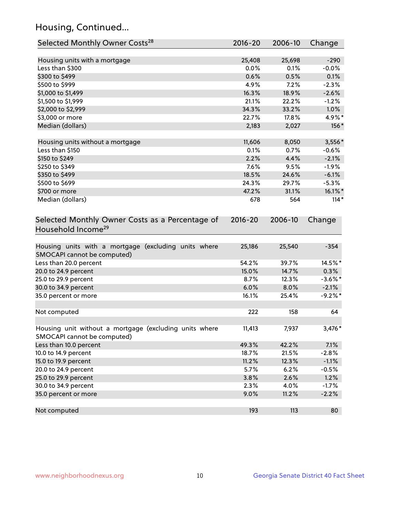## Housing, Continued...

| Selected Monthly Owner Costs <sup>28</sup>                                            | 2016-20     | 2006-10 | Change     |
|---------------------------------------------------------------------------------------|-------------|---------|------------|
| Housing units with a mortgage                                                         | 25,408      | 25,698  | $-290$     |
| Less than \$300                                                                       | 0.0%        | 0.1%    | $-0.0%$    |
| \$300 to \$499                                                                        | 0.6%        | 0.5%    | 0.1%       |
| \$500 to \$999                                                                        | 4.9%        | 7.2%    | $-2.3%$    |
| \$1,000 to \$1,499                                                                    | 16.3%       | 18.9%   | $-2.6%$    |
| \$1,500 to \$1,999                                                                    | 21.1%       | 22.2%   | $-1.2%$    |
| \$2,000 to \$2,999                                                                    | 34.3%       | 33.2%   | 1.0%       |
| \$3,000 or more                                                                       | 22.7%       | 17.8%   | 4.9%*      |
| Median (dollars)                                                                      | 2,183       | 2,027   | 156*       |
| Housing units without a mortgage                                                      | 11,606      | 8,050   | 3,556*     |
| Less than \$150                                                                       | 0.1%        | 0.7%    | $-0.6%$    |
| \$150 to \$249                                                                        | 2.2%        | 4.4%    | $-2.1%$    |
| \$250 to \$349                                                                        | 7.6%        | 9.5%    | $-1.9%$    |
| \$350 to \$499                                                                        | 18.5%       | 24.6%   | $-6.1%$    |
| \$500 to \$699                                                                        | 24.3%       | 29.7%   | $-5.3%$    |
| \$700 or more                                                                         | 47.2%       | 31.1%   | 16.1%*     |
| Median (dollars)                                                                      | 678         | 564     | $114*$     |
| Selected Monthly Owner Costs as a Percentage of<br>Household Income <sup>29</sup>     | $2016 - 20$ | 2006-10 | Change     |
| Housing units with a mortgage (excluding units where<br>SMOCAPI cannot be computed)   | 25,186      | 25,540  | $-354$     |
| Less than 20.0 percent                                                                | 54.2%       | 39.7%   | 14.5%*     |
| 20.0 to 24.9 percent                                                                  | 15.0%       | 14.7%   | 0.3%       |
| 25.0 to 29.9 percent                                                                  | 8.7%        | 12.3%   | $-3.6\%$ * |
| 30.0 to 34.9 percent                                                                  | 6.0%        | 8.0%    | $-2.1%$    |
| 35.0 percent or more                                                                  | 16.1%       | 25.4%   | $-9.2%$ *  |
| Not computed                                                                          | 222         | 158     | 64         |
| Housing unit without a mortgage (excluding units where<br>SMOCAPI cannot be computed) | 11,413      | 7,937   | 3,476*     |
| Less than 10.0 percent                                                                | 49.3%       | 42.2%   | 7.1%       |
| 10.0 to 14.9 percent                                                                  | 18.7%       | 21.5%   | $-2.8%$    |
| 15.0 to 19.9 percent                                                                  | 11.2%       | 12.3%   | $-1.1%$    |
| 20.0 to 24.9 percent                                                                  | 5.7%        | 6.2%    | $-0.5%$    |
| 25.0 to 29.9 percent                                                                  | 3.8%        | 2.6%    | 1.2%       |
| 30.0 to 34.9 percent                                                                  | 2.3%        | 4.0%    | $-1.7%$    |
| 35.0 percent or more                                                                  | 9.0%        | 11.2%   | $-2.2%$    |
| Not computed                                                                          | 193         | 113     | 80         |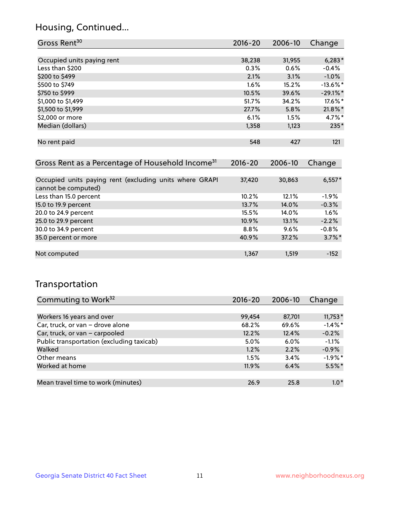## Housing, Continued...

| Gross Rent <sup>30</sup>   | 2016-20 | 2006-10 | Change      |
|----------------------------|---------|---------|-------------|
|                            |         |         |             |
| Occupied units paying rent | 38,238  | 31,955  | $6,283*$    |
| Less than \$200            | 0.3%    | 0.6%    | $-0.4%$     |
| \$200 to \$499             | 2.1%    | 3.1%    | $-1.0\%$    |
| \$500 to \$749             | $1.6\%$ | 15.2%   | $-13.6\%$ * |
| \$750 to \$999             | 10.5%   | 39.6%   | $-29.1\%$ * |
| \$1,000 to \$1,499         | 51.7%   | 34.2%   | 17.6%*      |
| \$1,500 to \$1,999         | 27.7%   | 5.8%    | $21.8\%$ *  |
| \$2,000 or more            | 6.1%    | 1.5%    | $4.7\%$ *   |
| Median (dollars)           | 1,358   | 1,123   | 235*        |
|                            |         |         |             |
| No rent paid               | 548     | 427     | 121         |

| Gross Rent as a Percentage of Household Income <sup>31</sup>                   | $2016 - 20$ | 2006-10 | Change    |
|--------------------------------------------------------------------------------|-------------|---------|-----------|
|                                                                                |             |         |           |
| Occupied units paying rent (excluding units where GRAPI<br>cannot be computed) | 37,420      | 30,863  | $6,557*$  |
| Less than 15.0 percent                                                         | 10.2%       | 12.1%   | $-1.9%$   |
| 15.0 to 19.9 percent                                                           | 13.7%       | 14.0%   | $-0.3%$   |
| 20.0 to 24.9 percent                                                           | 15.5%       | 14.0%   | 1.6%      |
| 25.0 to 29.9 percent                                                           | 10.9%       | 13.1%   | $-2.2%$   |
| 30.0 to 34.9 percent                                                           | $8.8\%$     | $9.6\%$ | $-0.8%$   |
| 35.0 percent or more                                                           | 40.9%       | 37.2%   | $3.7\%$ * |
|                                                                                |             |         |           |
| Not computed                                                                   | 1,367       | 1,519   | $-152$    |

## Transportation

| Commuting to Work <sup>32</sup>           | 2016-20 | 2006-10 | Change     |
|-------------------------------------------|---------|---------|------------|
|                                           |         |         |            |
| Workers 16 years and over                 | 99,454  | 87,701  | $11,753*$  |
| Car, truck, or van - drove alone          | 68.2%   | 69.6%   | $-1.4\%$ * |
| Car, truck, or van - carpooled            | 12.2%   | 12.4%   | $-0.2%$    |
| Public transportation (excluding taxicab) | 5.0%    | $6.0\%$ | $-1.1%$    |
| Walked                                    | 1.2%    | 2.2%    | $-0.9%$    |
| Other means                               | 1.5%    | 3.4%    | $-1.9%$ *  |
| Worked at home                            | 11.9%   | 6.4%    | $5.5\%$ *  |
|                                           |         |         |            |
| Mean travel time to work (minutes)        | 26.9    | 25.8    | $1.0*$     |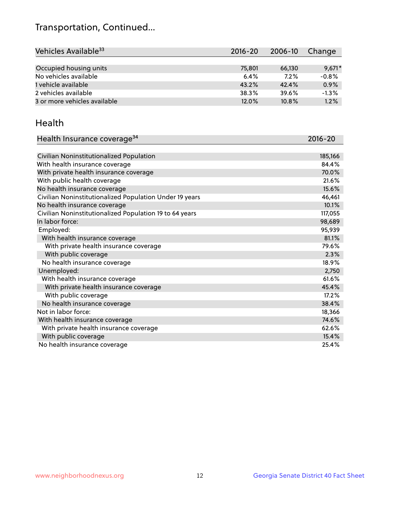## Transportation, Continued...

| Vehicles Available <sup>33</sup> | 2016-20 | 2006-10 | Change   |
|----------------------------------|---------|---------|----------|
|                                  |         |         |          |
| Occupied housing units           | 75,801  | 66,130  | $9.671*$ |
| No vehicles available            | 6.4%    | 7.2%    | $-0.8%$  |
| 1 vehicle available              | 43.2%   | 42.4%   | 0.9%     |
| 2 vehicles available             | 38.3%   | 39.6%   | $-1.3%$  |
| 3 or more vehicles available     | 12.0%   | 10.8%   | 1.2%     |

#### Health

| Health Insurance coverage <sup>34</sup>                 | 2016-20 |
|---------------------------------------------------------|---------|
|                                                         |         |
| Civilian Noninstitutionalized Population                | 185,166 |
| With health insurance coverage                          | 84.4%   |
| With private health insurance coverage                  | 70.0%   |
| With public health coverage                             | 21.6%   |
| No health insurance coverage                            | 15.6%   |
| Civilian Noninstitutionalized Population Under 19 years | 46,461  |
| No health insurance coverage                            | 10.1%   |
| Civilian Noninstitutionalized Population 19 to 64 years | 117,055 |
| In labor force:                                         | 98,689  |
| Employed:                                               | 95,939  |
| With health insurance coverage                          | 81.1%   |
| With private health insurance coverage                  | 79.6%   |
| With public coverage                                    | 2.3%    |
| No health insurance coverage                            | 18.9%   |
| Unemployed:                                             | 2,750   |
| With health insurance coverage                          | 61.6%   |
| With private health insurance coverage                  | 45.4%   |
| With public coverage                                    | 17.2%   |
| No health insurance coverage                            | 38.4%   |
| Not in labor force:                                     | 18,366  |
| With health insurance coverage                          | 74.6%   |
| With private health insurance coverage                  | 62.6%   |
| With public coverage                                    | 15.4%   |
| No health insurance coverage                            | 25.4%   |